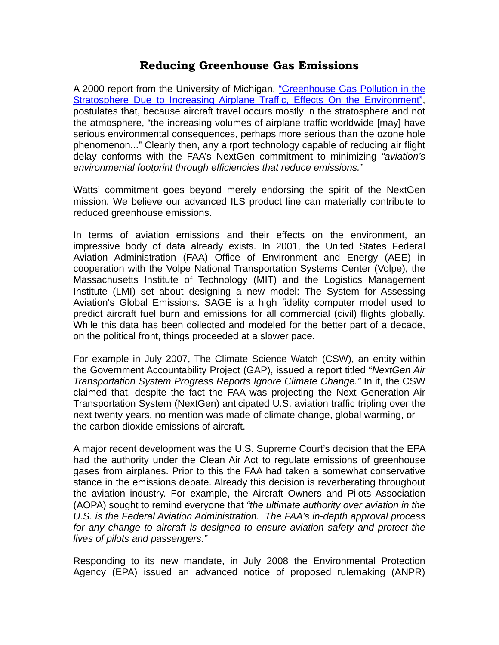## **Reducing Greenhouse Gas Emissions**

A 2000 report from the University of Michigan, "Greenhouse Gas Pollution in the Stratosphere Due to Increasing Airplane Traffic, Effects On the Environment", postulates that, because aircraft travel occurs mostly in the stratosphere and not the atmosphere, "the increasing volumes of airplane traffic worldwide [may] have serious environmental consequences, perhaps more serious than the ozone hole phenomenon..." Clearly then, any airport technology capable of reducing air flight delay conforms with the FAA's NextGen commitment to minimizing *"aviation's environmental footprint through efficiencies that reduce emissions."* 

Watts' commitment goes beyond merely endorsing the spirit of the NextGen mission. We believe our advanced ILS product line can materially contribute to reduced greenhouse emissions.

In terms of aviation emissions and their effects on the environment, an impressive body of data already exists. In 2001, the United States Federal Aviation Administration (FAA) Office of Environment and Energy (AEE) in cooperation with the Volpe National Transportation Systems Center (Volpe), the Massachusetts Institute of Technology (MIT) and the Logistics Management Institute (LMI) set about designing a new model: The System for Assessing Aviation's Global Emissions. SAGE is a high fidelity computer model used to predict aircraft fuel burn and emissions for all commercial (civil) flights globally. While this data has been collected and modeled for the better part of a decade, on the political front, things proceeded at a slower pace.

For example in July 2007, The Climate Science Watch (CSW), an entity within the Government Accountability Project (GAP), issued a report titled "*NextGen Air Transportation System Progress Reports Ignore Climate Change."* In it, the CSW claimed that, despite the fact the FAA was projecting the Next Generation Air Transportation System (NextGen) anticipated U.S. aviation traffic tripling over the next twenty years, no mention was made of climate change, global warming, or the carbon dioxide emissions of aircraft.

A major recent development was the U.S. Supreme Court's decision that the EPA had the authority under the Clean Air Act to regulate emissions of greenhouse gases from airplanes. Prior to this the FAA had taken a somewhat conservative stance in the emissions debate. Already this decision is reverberating throughout the aviation industry. For example, the Aircraft Owners and Pilots Association (AOPA) sought to remind everyone that *"the ultimate authority over aviation in the U.S. is the Federal Aviation Administration. The FAA's in-depth approval process for any change to aircraft is designed to ensure aviation safety and protect the lives of pilots and passengers."* 

Responding to its new mandate, in July 2008 the Environmental Protection Agency (EPA) issued an advanced notice of proposed rulemaking (ANPR)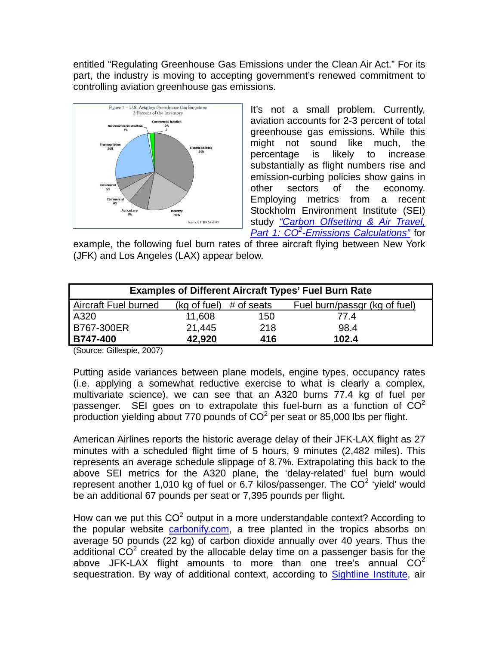entitled "Regulating Greenhouse Gas Emissions under the Clean Air Act." For its part, the industry is moving to accepting government's renewed commitment to controlling aviation greenhouse gas emissions.



It's not a small problem. Currently, aviation accounts for 2-3 percent of total greenhouse gas emissions. While this might not sound like much, the percentage is likely to increase substantially as flight numbers rise and emission-curbing policies show gains in other sectors of the economy. Employing metrics from a recent Stockholm Environment Institute (SEI) study *"Carbon Offsetting & Air Travel, Part 1: CO2 -Emissions Calculations"* for

example, the following fuel burn rates of three aircraft flying between New York (JFK) and Los Angeles (LAX) appear below.

| <b>Examples of Different Aircraft Types' Fuel Burn Rate</b> |                                   |     |                               |
|-------------------------------------------------------------|-----------------------------------|-----|-------------------------------|
| Aircraft Fuel burned                                        | $(kg \text{ of fuel})$ # of seats |     | Fuel burn/passgr (kg of fuel) |
| A320                                                        | 11,608                            | 150 | 77.4                          |
| <b>B767-300ER</b>                                           | 21,445                            | 218 | 98.4                          |
| <b>B747-400</b>                                             | 42,920                            | 416 | 102.4                         |

(Source: Gillespie, 2007)

Putting aside variances between plane models, engine types, occupancy rates (i.e. applying a somewhat reductive exercise to what is clearly a complex, multivariate science), we can see that an A320 burns 77.4 kg of fuel per passenger. SEI goes on to extrapolate this fuel-burn as a function of  $CO<sup>2</sup>$ production yielding about 770 pounds of  $CO<sup>2</sup>$  per seat or 85,000 lbs per flight.

American Airlines reports the historic average delay of their JFK-LAX flight as 27 minutes with a scheduled flight time of 5 hours, 9 minutes (2,482 miles). This represents an average schedule slippage of 8.7%. Extrapolating this back to the above SEI metrics for the A320 plane, the 'delay-related' fuel burn would represent another 1,010 kg of fuel or 6.7 kilos/passenger. The  $CO<sup>2</sup>$  'yield' would be an additional 67 pounds per seat or 7,395 pounds per flight.

How can we put this  $CO^2$  output in a more understandable context? According to the popular website carbonify.com, a tree planted in the tropics absorbs on average 50 pounds (22 kg) of carbon dioxide annually over 40 years. Thus the additional CO<sup>2</sup> created by the allocable delay time on a passenger basis for the above JFK-LAX flight amounts to more than one tree's annual  $CO<sup>2</sup>$ sequestration. By way of additional context, according to Sightline Institute, air